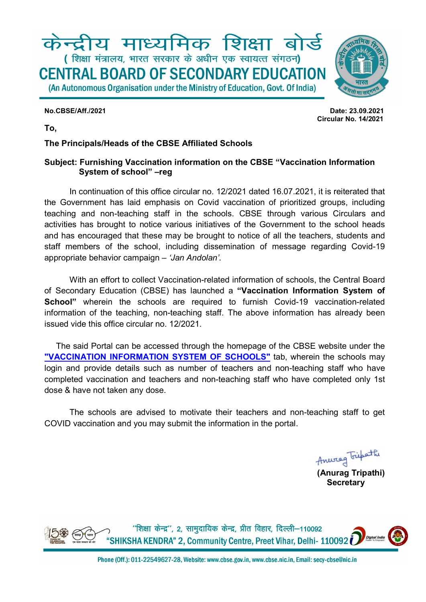# केन्द्रीय माध्यमिक शिक्षा बोर्ड (शिक्षा मंत्रालय, भारत सरकार के अधीन एक स्वायत्त संगठन) **CENTRAL BOARD OF SECONDARY EDUCATION** (An Autonomous Organisation under the Ministry of Education, Govt. Of India)

No.CBSE/Aff./2021 Date: 23.09.2021 Circular No. 14/2021

To,

### The Principals/Heads of the CBSE Affiliated Schools

#### Subject: Furnishing Vaccination information on the CBSE "Vaccination Information System of school" –reg

In continuation of this office circular no. 12/2021 dated 16.07.2021, it is reiterated that the Government has laid emphasis on Covid vaccination of prioritized groups, including teaching and non-teaching staff in the schools. CBSE through various Circulars and activities has brought to notice various initiatives of the Government to the school heads and has encouraged that these may be brought to notice of all the teachers, students and staff members of the school, including dissemination of message regarding Covid-19 appropriate behavior campaign – 'Jan Andolan'.

With an effort to collect Vaccination-related information of schools, the Central Board of Secondary Education (CBSE) has launched a "Vaccination Information System of School" wherein the schools are required to furnish Covid-19 vaccination-related information of the teaching, non-teaching staff. The above information has already been issued vide this office circular no. 12/2021.

 The said Portal can be accessed through the homepage of the CBSE website under the "VACCINATION INFORMATION SYSTEM OF SCHOOLS" tab, wherein the schools may login and provide details such as number of teachers and non-teaching staff who have completed vaccination and teachers and non-teaching staff who have completed only 1st dose & have not taken any dose.

 The schools are advised to motivate their teachers and non-teaching staff to get COVID vaccination and you may submit the information in the portal.

(Anurag Tripathi)

**Secretary**